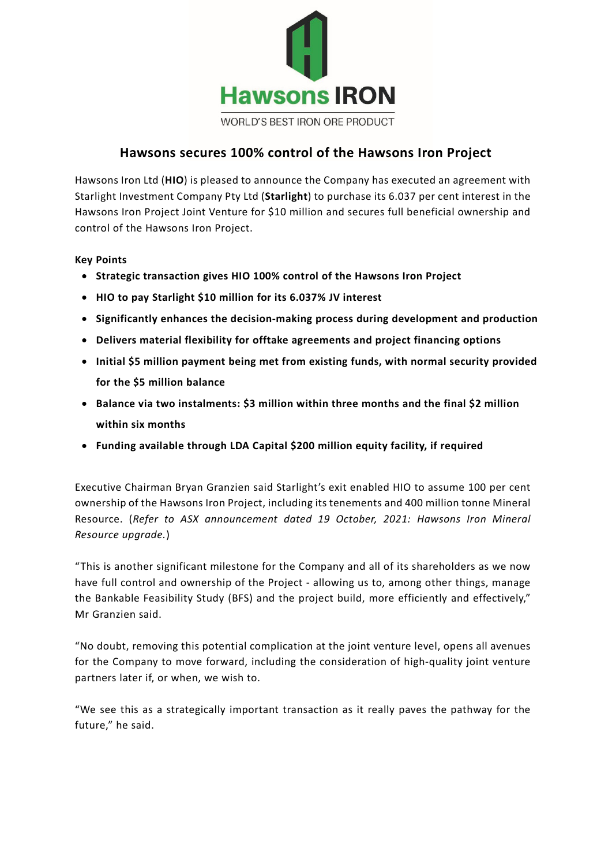

# **Hawsons secures 100% control of the Hawsons Iron Project**

Hawsons Iron Ltd (**HIO**) is pleased to announce the Company has executed an agreement with Starlight Investment Company Pty Ltd (**Starlight**) to purchase its 6.037 per cent interest in the Hawsons Iron Project Joint Venture for \$10 million and secures full beneficial ownership and control of the Hawsons Iron Project.

### **Key Points**

- **Strategic transaction gives HIO 100% control of the Hawsons Iron Project**
- **HIO to pay Starlight \$10 million for its 6.037% JV interest**
- **Significantly enhances the decision-making process during development and production**
- **Delivers material flexibility for offtake agreements and project financing options**
- **Initial \$5 million payment being met from existing funds, with normal security provided for the \$5 million balance**
- **Balance via two instalments: \$3 million within three months and the final \$2 million within six months**
- **Funding available through LDA Capital \$200 million equity facility, if required**

Executive Chairman Bryan Granzien said Starlight's exit enabled HIO to assume 100 per cent ownership of the Hawsons Iron Project, including its tenements and 400 million tonne Mineral Resource. (*Refer to ASX announcement dated 19 October, 2021: Hawsons Iron Mineral Resource upgrade.*)

"This is another significant milestone for the Company and all of its shareholders as we now have full control and ownership of the Project - allowing us to, among other things, manage the Bankable Feasibility Study (BFS) and the project build, more efficiently and effectively," Mr Granzien said.

"No doubt, removing this potential complication at the joint venture level, opens all avenues for the Company to move forward, including the consideration of high-quality joint venture partners later if, or when, we wish to.

"We see this as a strategically important transaction as it really paves the pathway for the future," he said.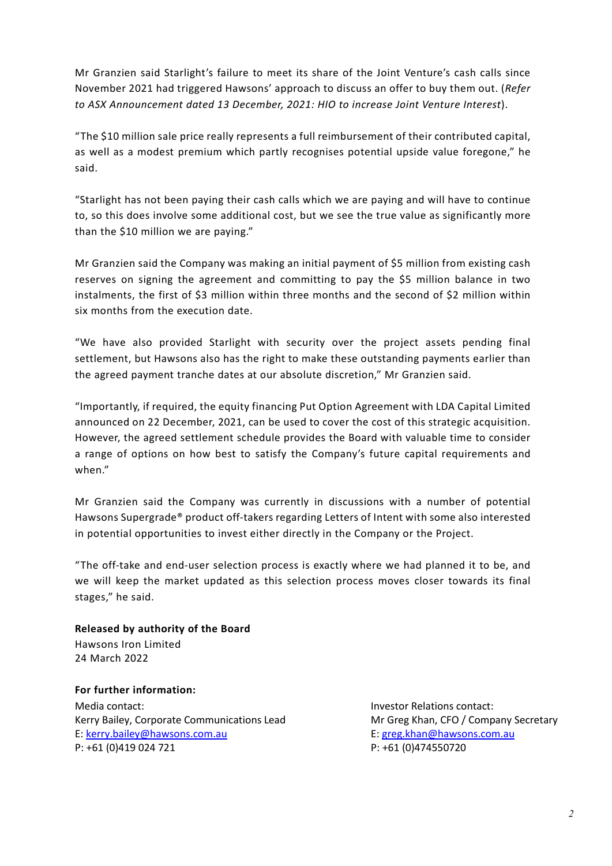Mr Granzien said Starlight's failure to meet its share of the Joint Venture's cash calls since November 2021 had triggered Hawsons' approach to discuss an offer to buy them out. (*Refer to ASX Announcement dated 13 December, 2021: [HIO to increase Joint Venture Interest](javascript:WebForm_DoPostBackWithOptions(new%20WebForm_PostBackOptions(%22ctl00$BodyPlaceHolder$AnnouncementsView1$CompanyAnnouncementsControl1$grdAnnouncements_Underlying$ctl14$lnkDescription%22,%20%22%22,%20true,%20%22%22,%20%22%22,%20false,%20true)))*).

"The \$10 million sale price really represents a full reimbursement of their contributed capital, as well as a modest premium which partly recognises potential upside value foregone," he said.

"Starlight has not been paying their cash calls which we are paying and will have to continue to, so this does involve some additional cost, but we see the true value as significantly more than the \$10 million we are paying."

Mr Granzien said the Company was making an initial payment of \$5 million from existing cash reserves on signing the agreement and committing to pay the \$5 million balance in two instalments, the first of \$3 million within three months and the second of \$2 million within six months from the execution date.

"We have also provided Starlight with security over the project assets pending final settlement, but Hawsons also has the right to make these outstanding payments earlier than the agreed payment tranche dates at our absolute discretion," Mr Granzien said.

"Importantly, if required, the equity financing Put Option Agreement with LDA Capital Limited announced on 22 December, 2021, can be used to cover the cost of this strategic acquisition. However, the agreed settlement schedule provides the Board with valuable time to consider a range of options on how best to satisfy the Company's future capital requirements and when."

Mr Granzien said the Company was currently in discussions with a number of potential Hawsons Supergrade® product off-takers regarding Letters of Intent with some also interested in potential opportunities to invest either directly in the Company or the Project.

"The off-take and end-user selection process is exactly where we had planned it to be, and we will keep the market updated as this selection process moves closer towards its final stages," he said.

## **Released by authority of the Board**

Hawsons Iron Limited 24 March 2022

## **For further information:**

Media contact: Investor Relations contact: Kerry Bailey, Corporate Communications Lead Mr Greg Khan, CFO / Company Secretary E[: kerry.bailey@hawsons.com.au](mailto:kerry.bailey@hawsons.com.au) E[: greg.khan@hawsons.com.au](mailto:greg.khan@hawsons.com.au) P: +61 (0)419 024 721 P: +61 (0)474550720